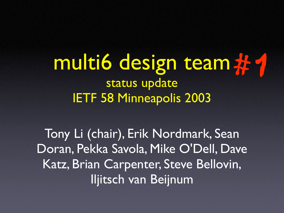multi6 design team status update IETF 58 Minneapolis 2003 #1

Tony Li (chair), Erik Nordmark, Sean Doran, Pekka Savola, Mike O'Dell, Dave Katz, Brian Carpenter, Steve Bellovin, Iljitsch van Beijnum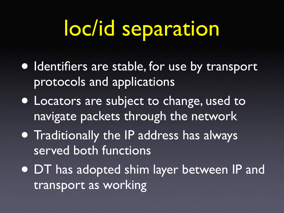## loc/id separation

- Identifiers are stable, for use by transport protocols and applications
- Locators are subject to change, used to navigate packets through the network
- Traditionally the IP address has always served both functions
- DT has adopted shim layer between IP and transport as working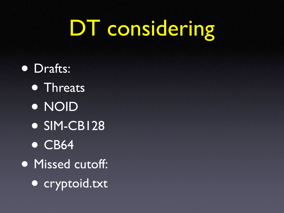# DT considering

• Drafts: • Threats • NOID • SIM-CB128 **• CB64** • Missed cutoff: • cryptoid.txt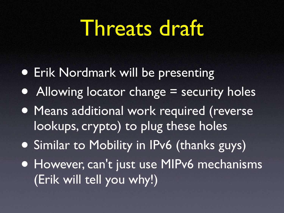#### Threats draft

- Erik Nordmark will be presenting
- Allowing locator change = security holes
- Means additional work required (reverse lookups, crypto) to plug these holes
- Similar to Mobility in IPv6 (thanks guys)
- However, can't just use MIPv6 mechanisms (Erik will tell you why!)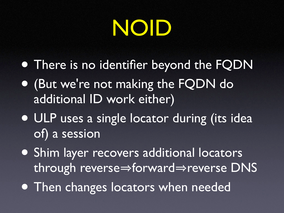### NOID

- There is no identifier beyond the FQDN
- (But we 're not making the FQDN do additional ID work either)
- ULP uses <sup>a</sup> single locator during (its idea of) a session
- Shim layer recovers additional locators through reverse $\Rightarrow$  forward $\Rightarrow$  reverse DNS
- Then changes locators when needed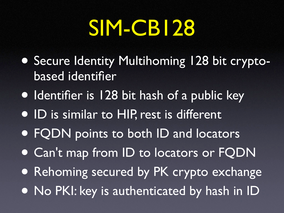### SIM-CB128

- Secure Identity Multihoming 128 bit cryptobased identifier
- Identifier is 128 bit hash of a public key
- ID is similar to HIP,rest is different
- FQDN points to both ID and locators
- Can't map from ID to locators or FQDN
- Rehoming secured by PK crypto exchange
- No PKI: key is authenticated by hash in ID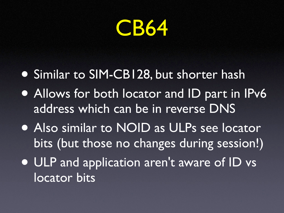

- Similar to SIM-CB128, but shorter hash
- Allows for both locator and ID part in IPv6 address which can be in reverse DNS
- Also similar to NOID as ULPs see locator bits (but those no changes during session!)
- ULP and application aren't aware of ID vs locator bits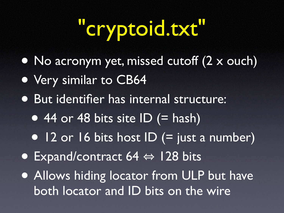# " cryptoid.txt"

- No acronym yet, missed cutoff (2 x ouch)
- Very similar to CB64
- But identifier has internal structure:
	- $\bullet$  44 or 48 bits site ID (= hash)
	- 12 or 16 bits host ID  $(=$  just a number)
- Expand/contract  $64 \Leftrightarrow 128$  bits
- Allows hiding locator from ULP but have both locator and ID bits on the wire